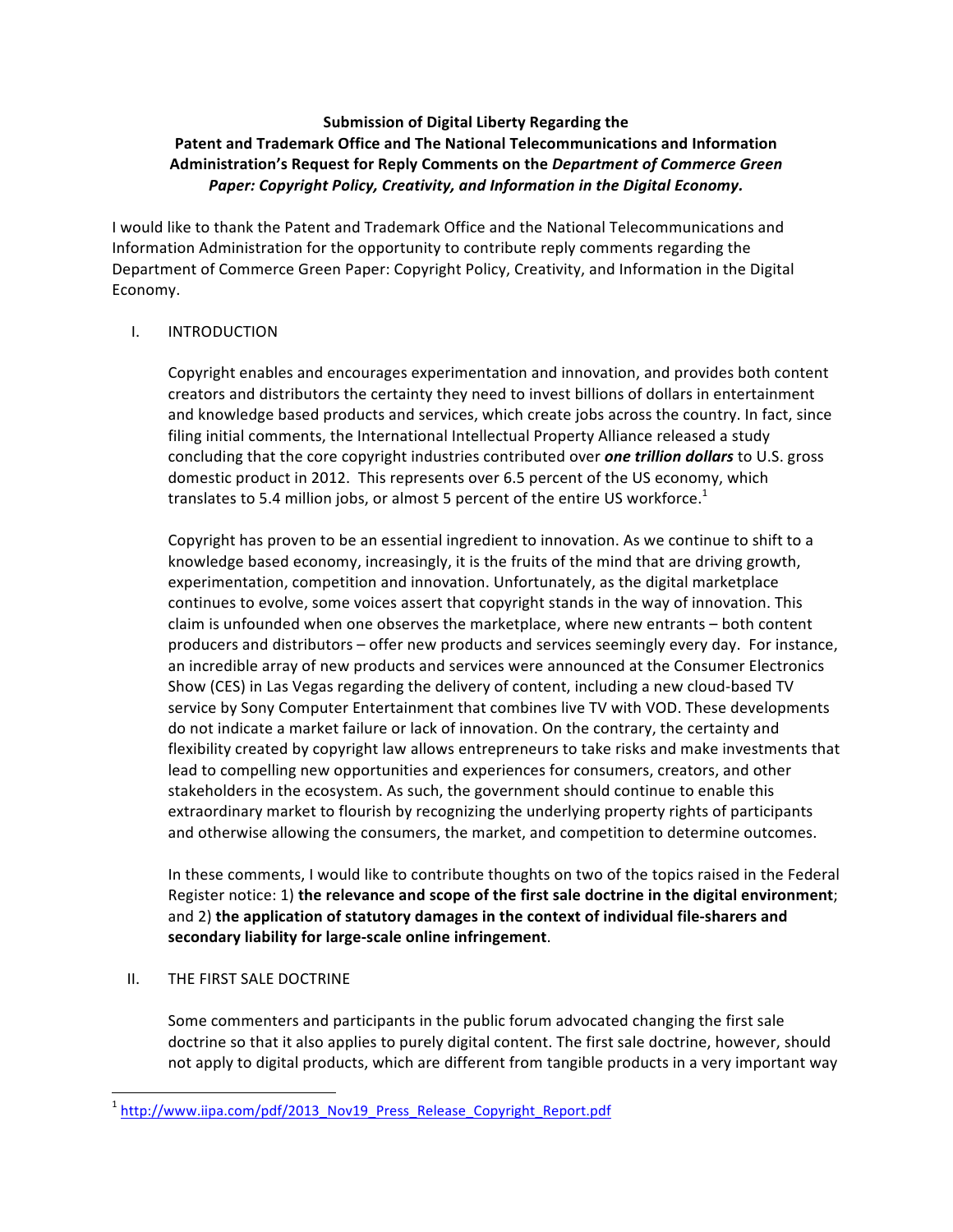# **Submission of Digital Liberty Regarding the Patent and Trademark Office and The National Telecommunications and Information** Administration's Request for Reply Comments on the *Department of Commerce Green* Paper: Copyright Policy, Creativity, and Information in the Digital Economy.

I would like to thank the Patent and Trademark Office and the National Telecommunications and Information Administration for the opportunity to contribute reply comments regarding the Department of Commerce Green Paper: Copyright Policy, Creativity, and Information in the Digital Economy. 

## I. INTRODUCTION

Copyright enables and encourages experimentation and innovation, and provides both content creators and distributors the certainty they need to invest billions of dollars in entertainment and knowledge based products and services, which create jobs across the country. In fact, since filing initial comments, the International Intellectual Property Alliance released a study concluding that the core copyright industries contributed over **one trillion dollars** to U.S. gross domestic product in 2012. This represents over 6.5 percent of the US economy, which translates to 5.4 million jobs, or almost 5 percent of the entire US workforce.<sup>1</sup>

Copyright has proven to be an essential ingredient to innovation. As we continue to shift to a knowledge based economy, increasingly, it is the fruits of the mind that are driving growth, experimentation, competition and innovation. Unfortunately, as the digital marketplace continues to evolve, some voices assert that copyright stands in the way of innovation. This claim is unfounded when one observes the marketplace, where new entrants - both content producers and distributors – offer new products and services seemingly every day. For instance, an incredible array of new products and services were announced at the Consumer Electronics Show (CES) in Las Vegas regarding the delivery of content, including a new cloud-based TV service by Sony Computer Entertainment that combines live TV with VOD. These developments do not indicate a market failure or lack of innovation. On the contrary, the certainty and flexibility created by copyright law allows entrepreneurs to take risks and make investments that lead to compelling new opportunities and experiences for consumers, creators, and other stakeholders in the ecosystem. As such, the government should continue to enable this extraordinary market to flourish by recognizing the underlying property rights of participants and otherwise allowing the consumers, the market, and competition to determine outcomes.

In these comments, I would like to contribute thoughts on two of the topics raised in the Federal Register notice: 1) the relevance and scope of the first sale doctrine in the digital environment; and 2) the application of statutory damages in the context of individual file-sharers and secondary liability for large-scale online infringement.

## II. THE FIRST SALE DOCTRINE

<u> 1989 - Johann Stein, fransk politik (d. 1989)</u>

Some commenters and participants in the public forum advocated changing the first sale doctrine so that it also applies to purely digital content. The first sale doctrine, however, should not apply to digital products, which are different from tangible products in a very important way

<sup>&</sup>lt;sup>1</sup> http://www.iipa.com/pdf/2013\_Nov19\_Press\_Release\_Copyright\_Report.pdf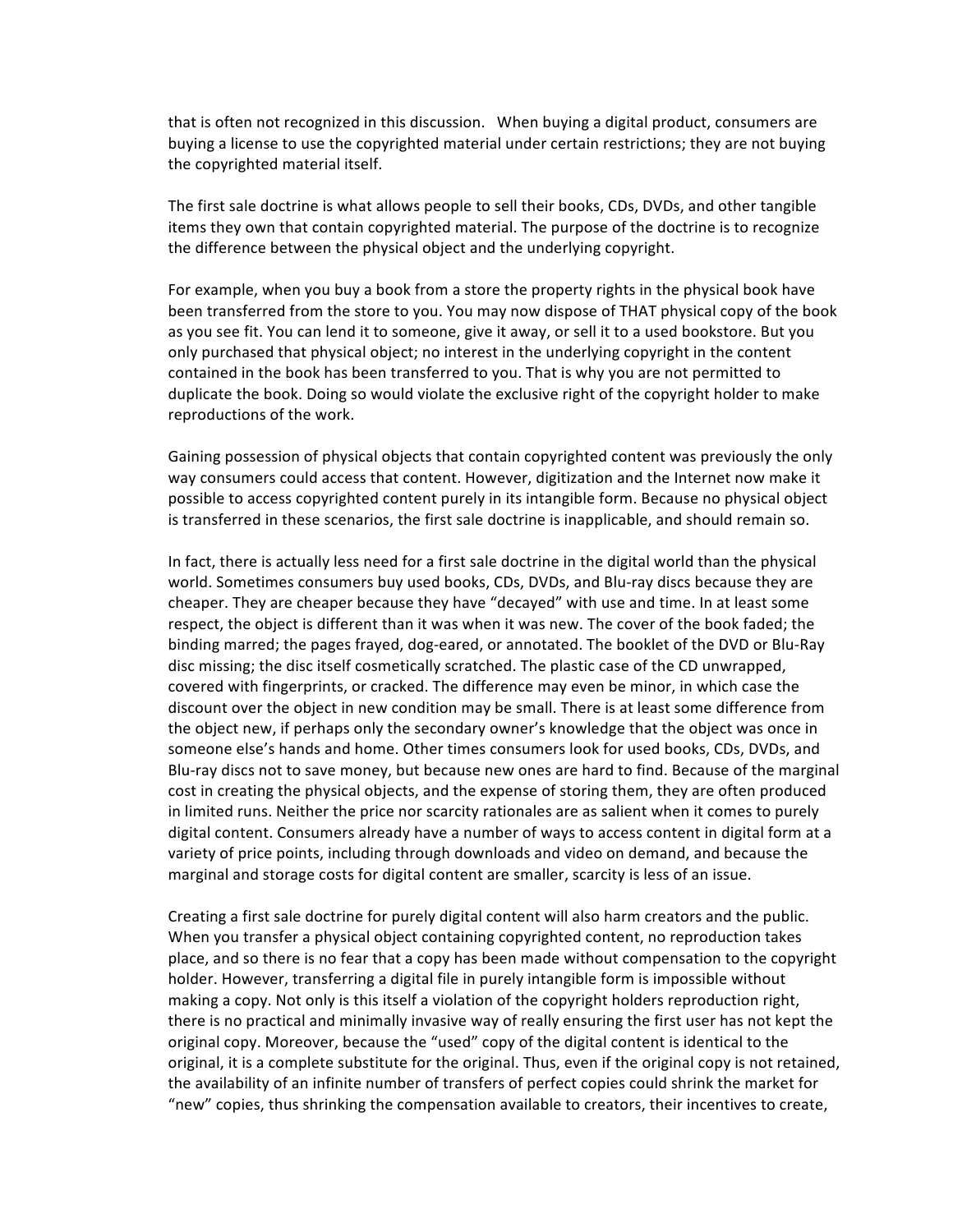that is often not recognized in this discussion. When buying a digital product, consumers are buying a license to use the copyrighted material under certain restrictions; they are not buying the copyrighted material itself.

The first sale doctrine is what allows people to sell their books, CDs, DVDs, and other tangible items they own that contain copyrighted material. The purpose of the doctrine is to recognize the difference between the physical object and the underlying copyright.

For example, when you buy a book from a store the property rights in the physical book have been transferred from the store to you. You may now dispose of THAT physical copy of the book as you see fit. You can lend it to someone, give it away, or sell it to a used bookstore. But you only purchased that physical object; no interest in the underlying copyright in the content contained in the book has been transferred to you. That is why you are not permitted to duplicate the book. Doing so would violate the exclusive right of the copyright holder to make reproductions of the work.

Gaining possession of physical objects that contain copyrighted content was previously the only way consumers could access that content. However, digitization and the Internet now make it possible to access copyrighted content purely in its intangible form. Because no physical object is transferred in these scenarios, the first sale doctrine is inapplicable, and should remain so.

In fact, there is actually less need for a first sale doctrine in the digital world than the physical world. Sometimes consumers buy used books, CDs, DVDs, and Blu-ray discs because they are cheaper. They are cheaper because they have "decayed" with use and time. In at least some respect, the object is different than it was when it was new. The cover of the book faded; the binding marred; the pages frayed, dog-eared, or annotated. The booklet of the DVD or Blu-Ray disc missing; the disc itself cosmetically scratched. The plastic case of the CD unwrapped, covered with fingerprints, or cracked. The difference may even be minor, in which case the discount over the object in new condition may be small. There is at least some difference from the object new, if perhaps only the secondary owner's knowledge that the object was once in someone else's hands and home. Other times consumers look for used books, CDs, DVDs, and Blu-ray discs not to save money, but because new ones are hard to find. Because of the marginal cost in creating the physical objects, and the expense of storing them, they are often produced in limited runs. Neither the price nor scarcity rationales are as salient when it comes to purely digital content. Consumers already have a number of ways to access content in digital form at a variety of price points, including through downloads and video on demand, and because the marginal and storage costs for digital content are smaller, scarcity is less of an issue.

Creating a first sale doctrine for purely digital content will also harm creators and the public. When you transfer a physical object containing copyrighted content, no reproduction takes place, and so there is no fear that a copy has been made without compensation to the copyright holder. However, transferring a digital file in purely intangible form is impossible without making a copy. Not only is this itself a violation of the copyright holders reproduction right, there is no practical and minimally invasive way of really ensuring the first user has not kept the original copy. Moreover, because the "used" copy of the digital content is identical to the original, it is a complete substitute for the original. Thus, even if the original copy is not retained, the availability of an infinite number of transfers of perfect copies could shrink the market for "new" copies, thus shrinking the compensation available to creators, their incentives to create,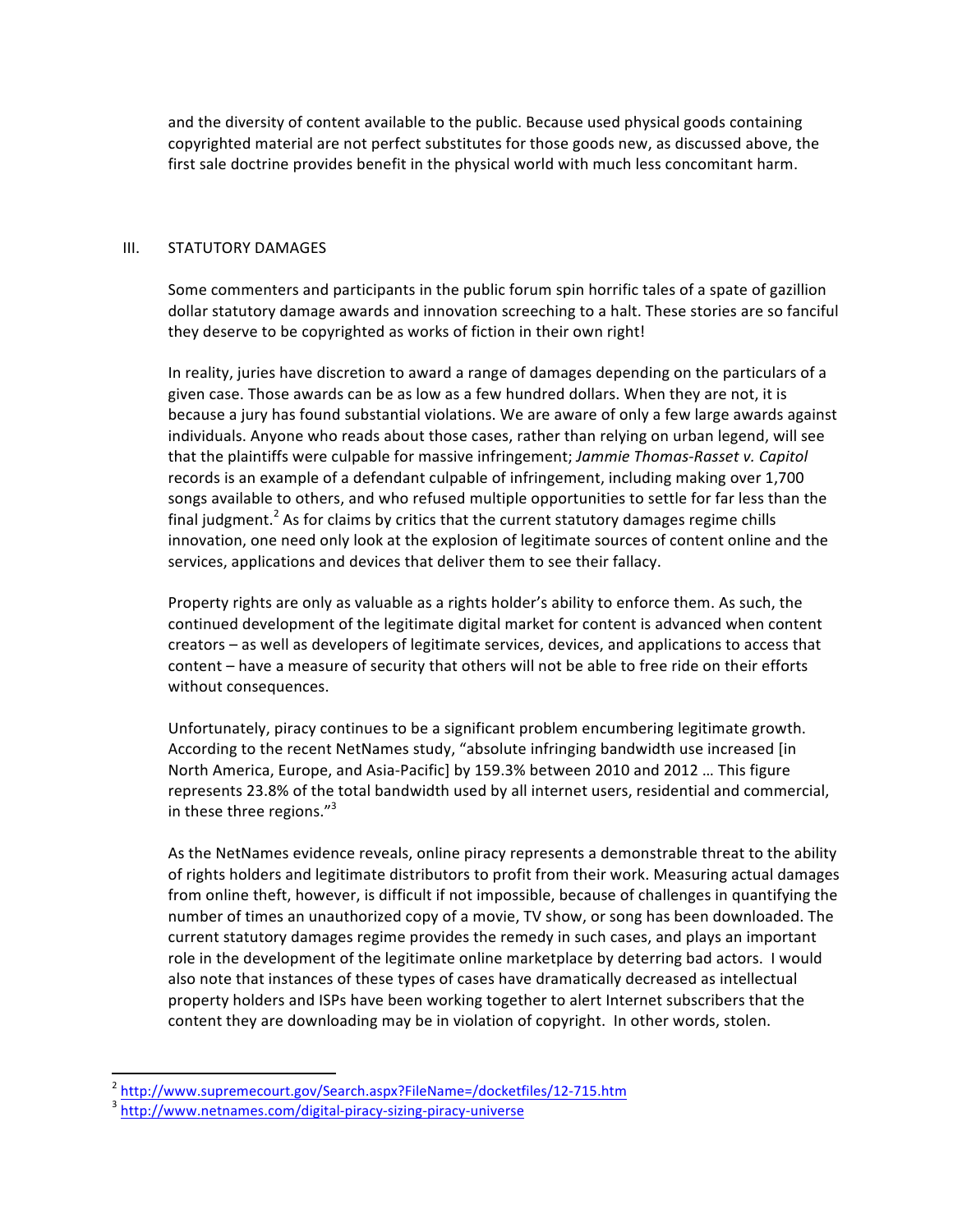and the diversity of content available to the public. Because used physical goods containing copyrighted material are not perfect substitutes for those goods new, as discussed above, the first sale doctrine provides benefit in the physical world with much less concomitant harm.

### III. STATUTORY DAMAGES

Some commenters and participants in the public forum spin horrific tales of a spate of gazillion dollar statutory damage awards and innovation screeching to a halt. These stories are so fanciful they deserve to be copyrighted as works of fiction in their own right!

In reality, juries have discretion to award a range of damages depending on the particulars of a given case. Those awards can be as low as a few hundred dollars. When they are not, it is because a jury has found substantial violations. We are aware of only a few large awards against individuals. Anyone who reads about those cases, rather than relying on urban legend, will see that the plaintiffs were culpable for massive infringement; Jammie Thomas-Rasset v. Capitol records is an example of a defendant culpable of infringement, including making over 1,700 songs available to others, and who refused multiple opportunities to settle for far less than the final judgment.<sup>2</sup> As for claims by critics that the current statutory damages regime chills innovation, one need only look at the explosion of legitimate sources of content online and the services, applications and devices that deliver them to see their fallacy.

Property rights are only as valuable as a rights holder's ability to enforce them. As such, the continued development of the legitimate digital market for content is advanced when content creators – as well as developers of legitimate services, devices, and applications to access that content – have a measure of security that others will not be able to free ride on their efforts without consequences.

Unfortunately, piracy continues to be a significant problem encumbering legitimate growth. According to the recent NetNames study, "absolute infringing bandwidth use increased [in North America, Europe, and Asia-Pacific] by 159.3% between 2010 and 2012 ... This figure represents 23.8% of the total bandwidth used by all internet users, residential and commercial, in these three regions." $3$ 

As the NetNames evidence reveals, online piracy represents a demonstrable threat to the ability of rights holders and legitimate distributors to profit from their work. Measuring actual damages from online theft, however, is difficult if not impossible, because of challenges in quantifying the number of times an unauthorized copy of a movie, TV show, or song has been downloaded. The current statutory damages regime provides the remedy in such cases, and plays an important role in the development of the legitimate online marketplace by deterring bad actors. I would also note that instances of these types of cases have dramatically decreased as intellectual property holders and ISPs have been working together to alert Internet subscribers that the content they are downloading may be in violation of copyright. In other words, stolen.

<u> 1989 - Johann Stein, fransk politik (d. 1989)</u>

<sup>&</sup>lt;sup>2</sup> http://www.supremecourt.gov/Search.aspx?FileName=/docketfiles/12-715.htm<br><sup>3</sup> http://www.netnames.com/digital-piracy-sizing-piracy-universe